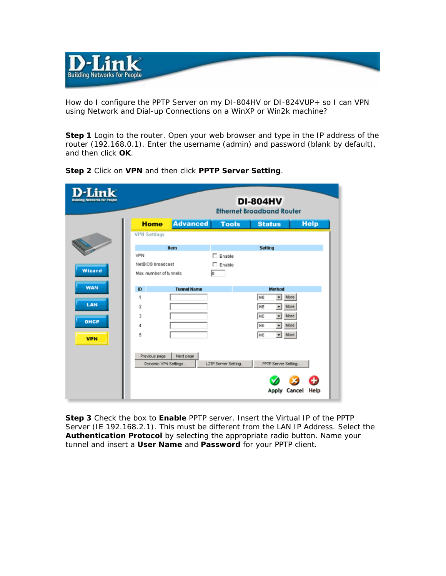

How do I configure the PPTP Server on my DI-804HV or DI-824VUP+ so I can VPN using Network and Dial-up Connections on a WinXP or Win2k machine?

**Step 1** Login to the router. Open your web browser and type in the IP address of the router (192.168.0.1). Enter the username (admin) and password (blank by default), and then click **OK**.

| D-Link<br><b>Building Networks for People</b> |                                       |                    |                     | <b>DI-804HV</b><br><b>Ethernet Broadband Router</b> |             |
|-----------------------------------------------|---------------------------------------|--------------------|---------------------|-----------------------------------------------------|-------------|
|                                               | <b>Home</b>                           | <b>Advanced</b>    | <b>Tools</b>        | <b>Status</b>                                       | <b>Help</b> |
|                                               | <b>VPN Settings</b>                   |                    |                     |                                                     |             |
|                                               |                                       | Item               |                     | Setting                                             |             |
|                                               | VPN                                   |                    | $\Box$ Enable       |                                                     |             |
|                                               | NetBIOS broadcast                     |                    | $\Box$ Enable       |                                                     |             |
| Wizard                                        | Max. number of tunnels                |                    | Iо                  |                                                     |             |
| <b>WAN</b>                                    | $\mathbf{I}$                          | <b>Tunnel Name</b> |                     | Method                                              |             |
|                                               | 1                                     |                    |                     | IKE<br>More<br>٠                                    |             |
| LAN                                           | 2                                     |                    |                     | More<br>IKE<br>٠                                    |             |
|                                               | 3                                     |                    |                     | IKE<br>More<br>٠                                    |             |
| <b>DHCP</b>                                   | 4                                     |                    |                     | IKE<br>More                                         |             |
| <b>VPN</b>                                    | 5                                     |                    |                     | More<br>IKE<br>۰                                    |             |
|                                               |                                       |                    |                     |                                                     |             |
|                                               | Previous page<br>Dynamic VPN Settings | Next page          | L2TP Server Setting | PPTP Server Setting                                 |             |
|                                               |                                       |                    |                     |                                                     |             |
|                                               |                                       |                    |                     |                                                     |             |
|                                               |                                       |                    |                     | Apply Cancel                                        | Help        |

**Step 2** Click on **VPN** and then click **PPTP Server Setting**.

**Step 3** Check the box to **Enable** PPTP server. Insert the Virtual IP of the PPTP Server (IE 192.168.2.1). This must be different from the LAN IP Address. Select the **Authentication Protocol** by selecting the appropriate radio button. Name your tunnel and insert a **User Name** and **Password** for your PPTP client.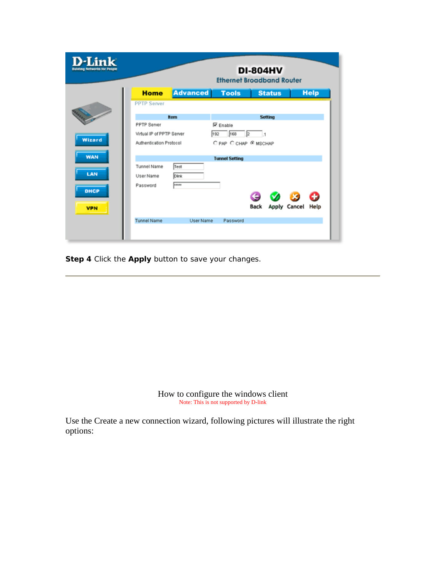| <b>D-Link</b><br><b>Building Networks for People</b> |                 | <b>Ethernet Broadband Router</b> | <b>DI-804HV</b> |              |             |
|------------------------------------------------------|-----------------|----------------------------------|-----------------|--------------|-------------|
| <b>Home</b>                                          | <b>Advanced</b> | <b>Tools</b>                     | <b>Status</b>   |              | <b>Help</b> |
| <b>PPTP Server</b>                                   |                 |                                  |                 |              |             |
|                                                      | <b>Item</b>     |                                  | <b>Setting</b>  |              |             |
| PPTP Server                                          |                 | <b>▽</b> Enable                  |                 |              |             |
| Virtual IP of PPTP Server                            |                 | 192<br>168                       | l2              |              |             |
| Authentication Protocol                              |                 | O PAP O CHAP @ MSCHAP            |                 |              |             |
|                                                      |                 | <b>Tunnel Setting</b>            |                 |              |             |
| <b>Tunnel Name</b>                                   | Test            |                                  |                 |              |             |
| User Name                                            | <b>Dlink</b>    |                                  |                 |              |             |
| Password                                             | anna            |                                  |                 |              |             |
|                                                      |                 |                                  | Back            | Apply Cancel | 65<br>Help  |
| <b>Tunnel Name</b>                                   | User Name       | Password                         |                 |              |             |

**Step 4** Click the **Apply** button to save your changes.

How to configure the windows client Note: This is not supported by D-link

Use the Create a new connection wizard, following pictures will illustrate the right options: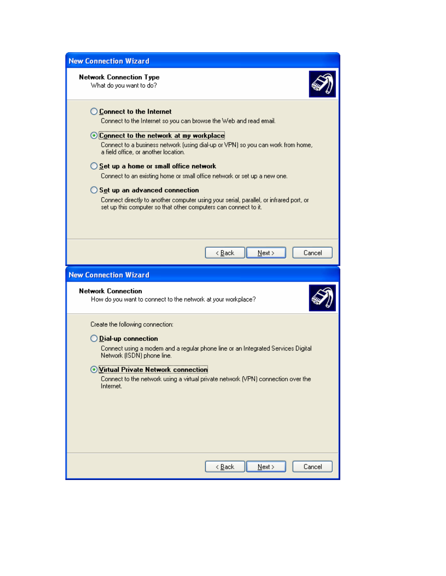| <b>New Connection Wizard</b>                                                                                                                                                                                                                                                                                                                                                                                                                                                                                                                                                                                   |  |  |  |  |  |
|----------------------------------------------------------------------------------------------------------------------------------------------------------------------------------------------------------------------------------------------------------------------------------------------------------------------------------------------------------------------------------------------------------------------------------------------------------------------------------------------------------------------------------------------------------------------------------------------------------------|--|--|--|--|--|
| <b>Network Connection Type</b><br>What do you want to do?                                                                                                                                                                                                                                                                                                                                                                                                                                                                                                                                                      |  |  |  |  |  |
| ◯ Connect to the Internet<br>Connect to the Internet so you can browse the Web and read email.<br>⊙ Connect to the network at my workplace<br>Connect to a business network (using dial-up or VPN) so you can work from home,<br>a field office, or another location.<br>$\bigcirc$ Set up a home or small office network<br>Connect to an existing home or small office network or set up a new one.<br>$\bigcirc$ Set up an advanced connection<br>Connect directly to another computer using your serial, parallel, or infrared port, or<br>set up this computer so that other computers can connect to it. |  |  |  |  |  |
| < <u>B</u> ack<br>$N$ ext ><br>Cancel                                                                                                                                                                                                                                                                                                                                                                                                                                                                                                                                                                          |  |  |  |  |  |
| <b>New Connection Wizard</b>                                                                                                                                                                                                                                                                                                                                                                                                                                                                                                                                                                                   |  |  |  |  |  |
| <b>Network Connection</b><br>How do you want to connect to the network at your workplace?                                                                                                                                                                                                                                                                                                                                                                                                                                                                                                                      |  |  |  |  |  |
| Create the following connection:<br>$\bigcirc$ Dial-up connection<br>Connect using a modem and a regular phone line or an Integrated Services Digital<br>Network (ISDN) phone line.<br>Virtual Private Network connection<br>Connect to the network using a virtual private network (VPN) connection over the<br>Internet.                                                                                                                                                                                                                                                                                     |  |  |  |  |  |
|                                                                                                                                                                                                                                                                                                                                                                                                                                                                                                                                                                                                                |  |  |  |  |  |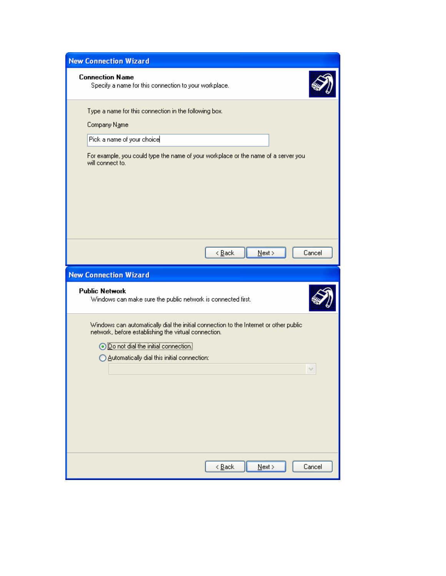| <b>Connection Name</b><br>Specify a name for this connection to your workplace.                                                              |  |  |  |  |  |
|----------------------------------------------------------------------------------------------------------------------------------------------|--|--|--|--|--|
| Type a name for this connection in the following box.                                                                                        |  |  |  |  |  |
| Company Name                                                                                                                                 |  |  |  |  |  |
| Pick a name of your choice                                                                                                                   |  |  |  |  |  |
| For example, you could type the name of your workplace or the name of a server you<br>will connect to.                                       |  |  |  |  |  |
| Cancel<br>$\leq$ $\underline{B}$ ack<br>$N$ ext >                                                                                            |  |  |  |  |  |
| <b>New Connection Wizard</b>                                                                                                                 |  |  |  |  |  |
| <b>Public Network</b><br>Windows can make sure the public network is connected first.                                                        |  |  |  |  |  |
| Windows can automatically dial the initial connection to the Internet or other public                                                        |  |  |  |  |  |
| network, before establishing the virtual connection.<br>O Do not dial the initial connection.<br>Automatically dial this initial connection: |  |  |  |  |  |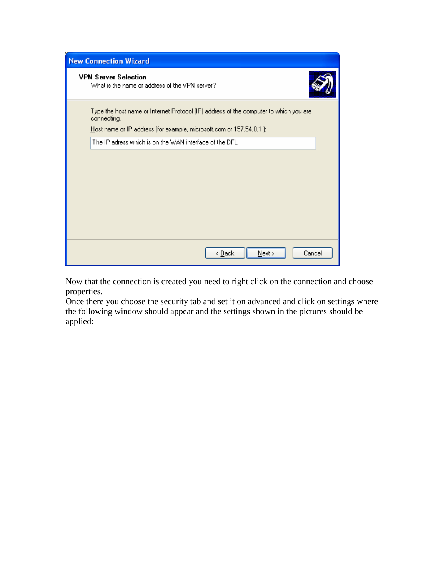| <b>New Connection Wizard</b>                                                                                                                                                |  |  |  |
|-----------------------------------------------------------------------------------------------------------------------------------------------------------------------------|--|--|--|
| <b>VPN Server Selection</b><br>What is the name or address of the VPN server?                                                                                               |  |  |  |
| Type the host name or Internet Protocol (IP) address of the computer to which you are<br>connecting.<br>Host name or IP address (for example, microsoft.com or 157.54.0.1): |  |  |  |
| The IP adress which is on the WAN interface of the DFL                                                                                                                      |  |  |  |
|                                                                                                                                                                             |  |  |  |
|                                                                                                                                                                             |  |  |  |
|                                                                                                                                                                             |  |  |  |
|                                                                                                                                                                             |  |  |  |
|                                                                                                                                                                             |  |  |  |
|                                                                                                                                                                             |  |  |  |
| < <u>B</u> ack<br>$N$ ext ><br>Cancel                                                                                                                                       |  |  |  |

Now that the connection is created you need to right click on the connection and choose properties.

Once there you choose the security tab and set it on advanced and click on settings where the following window should appear and the settings shown in the pictures should be applied: